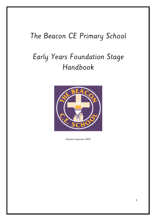## The Beacon CE Primary School

# Early Years Foundation Stage Handbook



(Updated September 2021)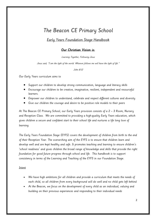### The Beacon CE Primary School

### Early Years Foundation Stage Handbook

#### Our Christian Vision is:

Learning Together, Following Jesus

Jesus said, "I am the light of the world. Whoever follows me will have the light of life."

John 8:12

Our Early Years curriculum aims to

- Support our children to develop strong communication, language and literacy skills
- Encourage our children to be creative, imaginative, resilient, independent and resourceful learners.
- Empower our children to understand, celebrate and respect different cultures and diversity
- Give our children the courage and desire to be positive role models to their peers

At The Beacon CE Primary School, our Early Years provision consists of a 2 – 3 Room, Nursery and Reception Class. We are committed to providing a high-quality Early Years education, which gives children a secure and confident start to their school life and nurtures a life long love of learning.

The Early Years Foundation Stage (EYFS) covers the development of children from birth to the end of their Reception Year. The overarching aim of the EYFS is to ensure that children learn and develop well and are kept healthy and safe. It promotes teaching and learning to ensure children's 'school readiness' and gives children the broad range of knowledge and skills that provide the right foundation for good future progress through school and life. This handbook is to support consistency in terms of the Learning and Teaching of the EYFS in our Foundation Stage.

#### Intent

- We have high ambitions for all children and provide a curriculum that meets the needs of each child, so all children from every background will do well and no child gets left behind
- At the Beacon, we focus on the development of every child as an individual, valuing and building on their previous experiences and responding to their individual needs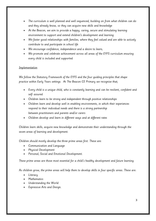- The curriculum is well planned and well sequenced, building on from what children can do and they already know, so they can acquire new skills and knowledge
- At the Beacon, we aim to provide a happy, caring, secure and stimulating learning environment to support and extend children's development and learning
- We foster good relationships with families, where they feel valued and are able to actively contribute to and participate in school life
- We encourage confidence, independence and a desire to learn;
- We promote and celebrate achievement across all areas of the EYFS curriculum ensuring every child is included and supported

#### Implementation

We follow the Statutory Framework of the EYFS and the four guiding principles that shape practice within Early Years settings. At The Beacon CE Primary we recognise that;

- Every child is a unique child, who is constantly learning and can be resilient, confident and self- assured
- Children learn to be strong and independent through positive relationships
- Children learn and develop well in enabling environments, in which their experiences respond to their individual needs and there is a strong partnership between practitioners and parents and/or carers
- Children develop and learn in different ways and at different rates

Children learn skills, acquire new knowledge and demonstrate their understanding through the seven areas of learning and development.

Children should mostly develop the three prime areas first. These are:

- Communication and Language
- Physical Development
- Personal, Social and Emotional Development.

These prime areas are those most essential for a child's healthy development and future learning.

As children grow, the prime areas will help them to develop skills in four specific areas. These are:

- Literacu
- Mathematics
- Understanding the World
- Expressive Arts and Design.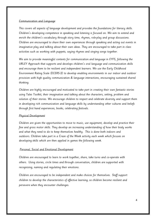#### Communication and Language

This covers all aspects of language development and provides the foundations for literacy skills. Children's developing competence in speaking and listening is focused on. We aim to extend and enrich the children's vocabulary through story time, rhymes, role-play and group discussions. Children are encouraged to share their own experiences through speaking and acting out events in imaginative play and talking about their own ideas. They are encouraged to take part in class activities such as working with puppets, saying rhymes and singing songs together.

We aim to provide meaningful contexts for communication and language in EYFS, following the URLEY Approach that supports and develops children's oral language and communication skills and encourage them to be resilient and independent learners. We use the Early Childhood Environment Rating Scale (ECERS-3) to develop enabling environments in our indoor and outdoor provision with high quality communication & language interactions, encouraging sustained shared thinking.

Children are highly encouraged and motivated to take part in creating their own fantastic stories using Tales Toolkit, their imagination and talking about the characters, setting, problem and solution of their stories. We encourage children to respect and celebrate diversity and support them in developing rich communication and language skills by understanding other cultures and beliefs through first hand experiences, books, celebrating festivals.

#### Physical Development

Children are given the opportunities to move to music, use equipment, develop and practice their fine and gross motor skills. They develop an increasing understanding of how their body works and what they need to do to keep themselves healthy. This is done both indoors and outdoors. Children take part in a Craze of the Week activity each week which focuses on developing skills which are then applied in games the following week.

#### Personal, Social and Emotional Development

Children are encouraged to learn to work together, share, take turns and co-operate with others. Using stories, circle times and through conversation, children are supported with recognising, naming and regulating their emotions.

Children are encouraged to be independent and make choices for themselves. Staff support children to develop the characteristics of effective learning, so children become resilient and persevere when they encounter challenges.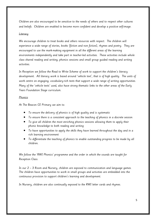Children are also encouraged to be sensitive to the needs of others and to respect other cultures and beliefs. Children are enabled to become more confident and develop a positive self-image.

#### **Literacy**

We encourage children to treat books and others resources with respect. The children will experience a wide range of stories, books (fiction and non fiction), rhymes and poetry. They are encouraged to use the mark-making equipment in all the different areas of the learning environments independently and take part in teacher-led activities. These activities include whole class shared reading and writing, phonics sessions and small group guided reading and writing activities.

In Reception we follow the Read to Write Scheme of work to support the children's literacy development. All literacy work is based around 'vehicle text', that is of high quality. The units of work centre on engaging, vocabulary-rich texts that support a wide range of writing opportunities. Many of the 'vehicle texts' used, also have strong thematic links to the other areas of the Early Years Foundation Stage curriculum.

#### **Phonics**

At The Beacon CE Primary we aim to:

- To ensure the delivery of phonics is of high quality and is systematic
- To ensure there is a consistent approach to the teaching of phonics in a discrete session
- To give all children the most enriching phonics sessions allowing them to apply their phonic knowledge to both reading and writing
- To have opportunities to apply the skills they have learned throughout the day and in a rich learning environment
- To differentiate the teaching of phonics to enable outstanding progress to be made by all children.

We follow the 'RWI Phonics' programme and the order in which the sounds are taught for Reception Class.

In our 2 – 3 Room and Nursery, children are exposed to communication and language games. The children have opportunities to work in small groups and activities are embedded into the continuous provision to support children's learning and development.

In Nursery, children are also continually exposed to the RWI letter cards and rhymes.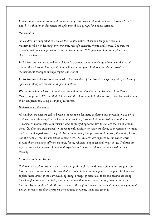In Reception, children are taught phonics using RWI scheme of work and work through Sets 1, 2 and 3. All children in Reception are split into ability groups for phonic sessions.

#### Mathematics

All children are supported to develop their mathematical skills and language through mathematically rich learning environments, real life contexts, rhyme and stories. Children are provided with meaningful contexts for mathematics in EYFS, following long term plans and children's interests.

In 2-3 Nursery we aim to enhance children's experience and knowledge of maths in the world around them through high quality interactions during play. Children are also exposed to mathematical concepts through rhyme and stories.

In 3-4 Nursery children are introduced to the 'Number of the Week' concept as part of a Mastery approach, alongside the use of rhyme and stories.

We aim to enhance fluency in maths in Reception by following a the 'Number of the Week' Mastery approach. We aim that children will therefore be able to demonstrate their knowledge and skills independently using a range of resources.

#### Understanding the World

All children are encouraged to become independent learners, exploring and investigating to solve problems and misconceptions. Children are provided, through both adult led and continuous provision enhancements, with relevant and purposeful opportunities to explore the world around them. Children are encouraged to independently explore, to solve problems, to investigate, to make decisions and experiment. They will learn about living things, their environment, the world, history and the people who are important in their lives. All children are exposed to the wider world around them including different cultures, foods, religion, languages and ways of life. Children are exposed to a wide variety of first-hand experiences to ensure children are immersed in their learning.

#### Expressive Arts and Design

Children will explore expressive arts and design through our early years foundation stage across three strands: natural materials recreated, creative design and imaginative role play. Children will explore these areas of the curriculum by using a range of materials, tools and techniques using their imagination and creativity, and by experimenting with colour, design, texture, form and function. Opportunities to do this are provided through art, music, movement, dance, role-play and design, in which children represent their unique thoughts, ideas and feelings.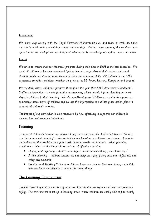#### In Harmony

We work very closely with the Royal Liverpool Philharmonic Hall and twice a week, specialist musician's work with our children about musicianship. During these sessions, the children have opportunities to develop their speaking and listening skills, knowledge of rhythm, rhyme and pitch.

#### Impact

We strive to ensure that our children's progress during their time in EYFS is the best it can be. We want all children to become competent lifelong learners, regardless of their backgrounds and starting points and develop good communication and language skills. All children in our EYFS experience smooth transitions, whether they join us in 2-3 Room, Nursery, Reception and beyond.

We regularly assess children's progress throughout the year (See EYFS Assessment Handbook). Staff use observations to make formative assessments, which quickly inform planning and next steps for children in their learning. We also use Development Matters as a guide to support our summative assessments of children and we use this information to put into place action plans to support all children's learning.

The impact of our curriculum is also measured by how effectively it supports our children to develop into well rounded individuals.

#### Planning

To support children's learning we follow a Long Term plan and the children's interests. We also use 'In the moment planning' to ensure that we are focusing on children's next stages of learning and enhancing the provision to support their learning needs and interests. When planning, practitioners reflect on the Three Characteristics of Effective Learning:

- Playing and Exploring children investigate and experience things, and 'have a go'
- Active Learning children concentrate and keep on trying if they encounter difficulties and enjoy achievements
- Creating and Thinking Critically children have and develop their own ideas, make links between ideas and develop strategies for doing things

#### The Learning Environment

The EYFS learning environment is organised to allow children to explore and learn securely and safely. The environment is set up in learning areas, where children are easily able to find clearly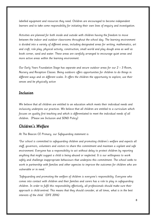labelled equipment and resources they need. Children are encouraged to become independent learners and to take some responsibility for initiating their own lines of enquiry and investigation.

Activities are planned for both inside and outside with children having the freedom to move between the indoor and outdoor classrooms throughout the school day. The learning environment is divided into a variety of different areas, including designated areas for writing, mathematics, art and craft, role play, physical activity, construction, small world and play dough area as well as book corner, sand and water. These areas are carefully arranged to encourage quiet areas and more active areas within the learning environment.

Our Early Years Foundation Stage has separate and secure outdoor areas for our 2 – 3 Room, Nursery and Reception Classes. Being outdoors offers opportunities for children to do things in different ways and on different scales. It offers the children the opportunity to explore, use their senses and be physically active

#### Inclusion

We believe that all children are entitled to an education which meets their individual needs and inclusivity underpins our practices. We believe that all children are entitled to a curriculum which focuses on quality first teaching and which is differentiated to meet the individual needs of all children. (Please see Inclusion and SEND Policy)

#### Children's Welfare

At The Beacon CE Primary, our Safeguarding statement is:

'Our school is committed to safeguarding children and promoting children's welfare and expects all staff, governors, volunteers and visitors to share this commitment and maintain a vigilant and safe environment. Everyone has a responsibility to act without delay to protect children by reporting anything that might suggest a child is being abused or neglected. It is our willingness to work safely and challenge inappropriate behaviours that underpins this commitment. The school seeks to work in partnership with families and other agencies to improve the outcomes for children who are vulnerable or in need.'

'Safeguarding and promoting the welfare of children is everyone's responsibility. Everyone who comes into contact with children and their families and carers has a role to play in safeguarding children. In order to fulfil this responsibility effectively, all professionals should make sure their approach is child-centred. This means that they should consider, at all times, what is in the best interests of the child.' (DFE 2016)